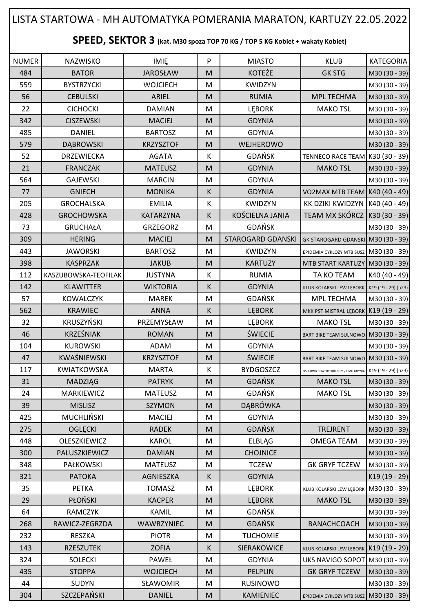## NUMER | NAZWISKO | IMIĘ | P | MIASTO | KLUB |KATEGORIA 484 | BATOR | JAROSŁAW | M | KOTEŻE | GK STG |M30 (30 - 39) 559 BYSTRZYCKI WOJCIECH M KWIDZYN M30 (30 - 39) 56 CEBULSKI ARIEL M RUMIA MPL TECHMA M30 (30 - 39) 22 | CICHOCKI | DAMIAN |M | LĘBORK | MAKO<code>TSL |</code>M30 (30 - 39) 342 | CISZEWSKI | MACIEJ |M | GDYNIA | M30 (30 - 39) 485 | DANIEL | BARTOSZ | M | GDYNIA | |M30 (30 - 39) 579 | DĄBROWSKI | KRZYSZTOF | M | WEJHEROWO | |M30 (30 - 39) 52 DRZEWIECKA AGATA K GDAŃSK TENNECO RACE TEAM K30 (30 - 39) 21 | FRANCZAK | MATEUSZ |M | GDYNIA | MAKO<code>TSL</code> |M30 (30 - 39) 564 | GAJEWSKI | MARCIN | M | GDYNIA | M30 (30 - 39) 77 | GNIECH | MONIKA | K | GDYNIA |VO2MAX MTB TEAM K40 (40 - 49) 205 GROCHALSKA I EMILIA K KWIDZYN KK DZIKI KWIDZYN K40 (40 - 49) 428 GROCHOWSKA KATARZYNA K KOŚCIELNA JANIA TEAM MX SKÓRCZ K30 (30 - 39) 73 | GRUCHAŁA | GRZEGORZ | M | GDAŃSK | | M30 (30 - 39) 309 HERING HERING MACIEJ M STAROGARD GDANSKI GK STAROGARD GDANSKI M30 (30 - 39) **443 | JAWORSKI | BARTOSZ | M | KWIDZYN |** EPIDEMIA CYKLOZY MTB SUSZ **| M30 (30 - 39)** 398 | KASPRZAK | JAKUB | M | KARTUZY | MTB START KARTUZY | M30 (30 - 39) 112 KASZUBOWSKA-TEOFILAK JUSTYNA K RUMIA TA KO TEAM K40 (40 - 49) 142 KLAWITTER | WIKTORIA K GDYNIA KUB KOLARSKI LEW LĘBORK K19 (19 - 29) (u23) 57 | KOWALCZYK | MAREK |M | GDAŃSK | MPL TECHMA |M30 (30 - 39) 562 | KRAWIEC | ANNA | K LĘBORK MKK PST MISTRAL LĘBORK K19 (19 - 29) 32 | KRUSZYŃSKI | PRZEMYSŁAW | M | LĘBORK | MAKO<code>TSL |</code>M30 (30 - 39) 46 | KRZEŚNIAK | ROMAN | M | ŚWIECIE | BART BIKE TEAM SULNOWO M30 (30 - 39) 104 | KUROWSKI | ADAM | M | GDYNIA | M30 (30 - 39) 47 KWAŚNIEWSKI | KRZYSZTOF | M | ŚWIECIE | BART BIKE TEAM SULNOWO M30 (30 - 39) 117 KWIATKOWSKA MARTA K BYDGOSZCZ SISU-OWB ROWERTOUR.COM / UMG GDYNIA K19 (19 - 29) (u23) 31 | MADZIĄG | PATRYK |M | GDAŃSK | MAKO TSL |M30 (30 - 39) 24 | MARKIEWICZ | MATEUSZ | M | GDAŃSK | MAKO TSL |M30 (30 - 39) 39 | MISLISZ | SZYMON |M| DĄBRÓWKA | M30 (30 - 39) 425 | MUCHLIŃSKI | MACIEJ |M | GDYNIA | M30 (30 - 39) 275 | OGLĘCKI | RADEK |M | GDAŃSK | TREJRENT |M30 (30 - 39) 448 OLESZKIEWICZ KAROL M ELBLĄG OMEGA TEAM M30 (30 - 39) 300 PALUSZKIEWICZ DAMIAN M M CHOJNICE M 348 | PAŁKOWSKI | MATEUSZ | M | TCZEW | GK GRYF TCZEW |M30 (30 - 39) 321 PATOKA AGNIESZKA K GDYNIA K19 (19 - 29) 35 | PETKA TOMASZ | M | LĘBORK | KLUB KOLARSKI LEW LĘBORK | M30 (30 - 39) 29 | PŁOŃSKI | KACPER |M | LĘBORK | MAKO<code>TSL |</code>M30 (30 - 39) 64 | RAMCZYK | KAMIL | M | GDAŃSK | |M30 (30 - 39) 268 RAWICZ-ZEGRZDA WAWRZYNIEC M GDAŃSK BANACHCOACH M30 (30 - 39) 232 RESZKA PIOTR M TUCHOMIE M30 (30 - 39) 143 | RZESZUTEK | ZOFIA | K SIERAKOWICE | KLUB KOLARSKI LEW LEBORK | K19 (19 - 29) 324 SOLECKI | PAWEŁ | M | GDYNIA | UKS NAVIGO SOPOT | M30 (30 - 39) 435 | STOPPA | WOJCIECH | M | PELPLIN | GK GRYF TCZEW | M30 (30 - 39) 44 | SUDYN | SŁAWOMIR | M | RUSINOWO | |M30 (30 - 39) **SPEED, SEKTOR 3 (kat. M30 spoza TOP 70 KG / TOP 5 KG Kobiet + wakaty Kobiet)** LISTA STARTOWA - MH AUTOMATYKA POMERANIA MARATON, KARTUZY 22.05.2022

304 SZCZEPAŃSKI | DANIEL | M | KAMIENIEC | EPIDEMIA CYKLOZY MTB SUSZ | M30 (30 - 39)